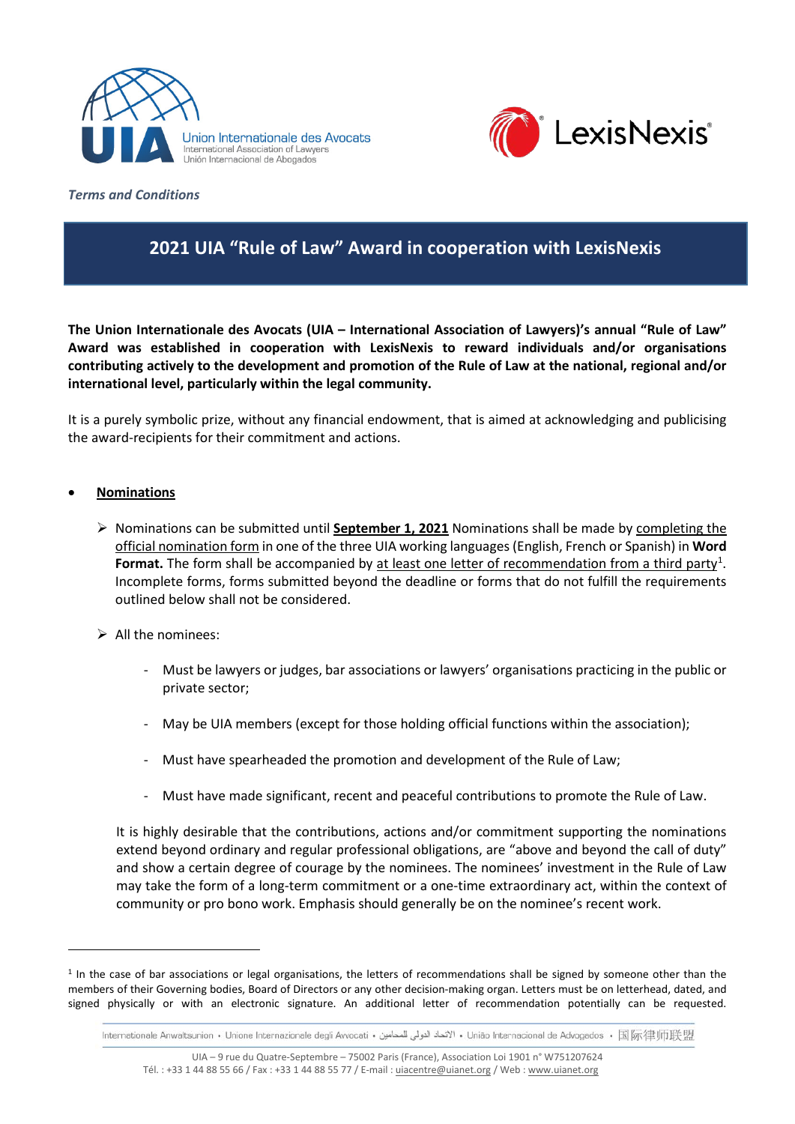



*Terms and Conditions* 

# **2021 UIA "Rule of Law" Award in cooperation with LexisNexis**

**The Union Internationale des Avocats (UIA – International Association of Lawyers)'s annual "Rule of Law" Award was established in cooperation with LexisNexis to reward individuals and/or organisations contributing actively to the development and promotion of the Rule of Law at the national, regional and/or international level, particularly within the legal community.**

It is a purely symbolic prize, without any financial endowment, that is aimed at acknowledging and publicising the award-recipients for their commitment and actions.

## • **Nominations**

- Nominations can be submitted until **September 1, 2021** Nominations shall be made by completing the official nomination form in one of the three UIA working languages (English, French or Spanish) in **Word**  Format. The form shall be accompanied by at least one letter of recommendation from a third party<sup>[1](#page-0-0)</sup>. Incomplete forms, forms submitted beyond the deadline or forms that do not fulfill the requirements outlined below shall not be considered.
- $\triangleright$  All the nominees:
	- Must be lawyers or judges, bar associations or lawyers' organisations practicing in the public or private sector;
	- May be UIA members (except for those holding official functions within the association);
	- Must have spearheaded the promotion and development of the Rule of Law;
	- Must have made significant, recent and peaceful contributions to promote the Rule of Law.

It is highly desirable that the contributions, actions and/or commitment supporting the nominations extend beyond ordinary and regular professional obligations, are "above and beyond the call of duty" and show a certain degree of courage by the nominees. The nominees' investment in the Rule of Law may take the form of a long-term commitment or a one-time extraordinary act, within the context of community or pro bono work. Emphasis should generally be on the nominee's recent work.

<span id="page-0-0"></span> $1$  In the case of bar associations or legal organisations, the letters of recommendations shall be signed by someone other than the members of their Governing bodies, Board of Directors or any other decision-making organ. Letters must be on letterhead, dated, and signed physically or with an electronic signature. An additional letter of recommendation potentially can be requested.

Internationale Anwaltsunion • Unione Internazionale degli Avvocati • الاتحاد الدولي للمحامين • União Internacional de Advogados • 国际律师联盟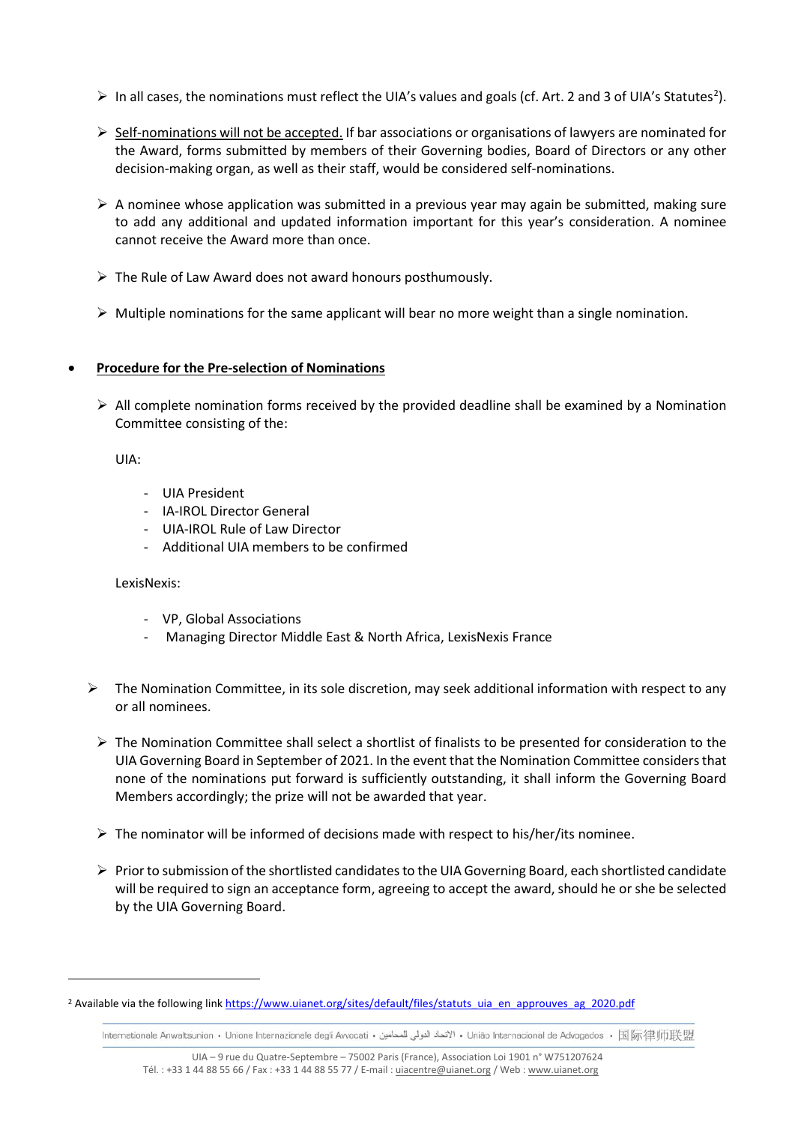- $\triangleright$  In all cases, the nominations must reflect the UIA's values and goals (cf. Art. [2](#page-1-0) and 3 of UIA's Statutes<sup>2</sup>).
- $\triangleright$  Self-nominations will not be accepted. If bar associations or organisations of lawyers are nominated for the Award, forms submitted by members of their Governing bodies, Board of Directors or any other decision-making organ, as well as their staff, would be considered self-nominations.
- $\triangleright$  A nominee whose application was submitted in a previous year may again be submitted, making sure to add any additional and updated information important for this year's consideration. A nominee cannot receive the Award more than once.
- $\triangleright$  The Rule of Law Award does not award honours posthumously.
- $\triangleright$  Multiple nominations for the same applicant will bear no more weight than a single nomination.

## • **Procedure for the Pre-selection of Nominations**

 $\triangleright$  All complete nomination forms received by the provided deadline shall be examined by a Nomination Committee consisting of the:

UIA:

- UIA President
- IA-IROL Director General
- UIA-IROL Rule of Law Director
- Additional UIA members to be confirmed

## LexisNexis:

- VP, Global Associations
- Managing Director Middle East & North Africa, LexisNexis France
- $\triangleright$  The Nomination Committee, in its sole discretion, may seek additional information with respect to any or all nominees.
	- $\triangleright$  The Nomination Committee shall select a shortlist of finalists to be presented for consideration to the UIA Governing Board in September of 2021. In the event that the Nomination Committee considers that none of the nominations put forward is sufficiently outstanding, it shall inform the Governing Board Members accordingly; the prize will not be awarded that year.
	- $\triangleright$  The nominator will be informed of decisions made with respect to his/her/its nominee.
	- $\triangleright$  Prior to submission of the shortlisted candidates to the UIA Governing Board, each shortlisted candidate will be required to sign an acceptance form, agreeing to accept the award, should he or she be selected by the UIA Governing Board.

Internationale Anwaltsunion • Unione Internazionale degli Avvocati • الاتحاد الدولي للمحامين • União Internacional de Advogados • 国际律师联盟

<span id="page-1-0"></span><sup>&</sup>lt;sup>2</sup> Available via the following link https://www.uianet.org/sites/default/files/statuts\_uia\_en\_approuves\_ag\_2020.pdf